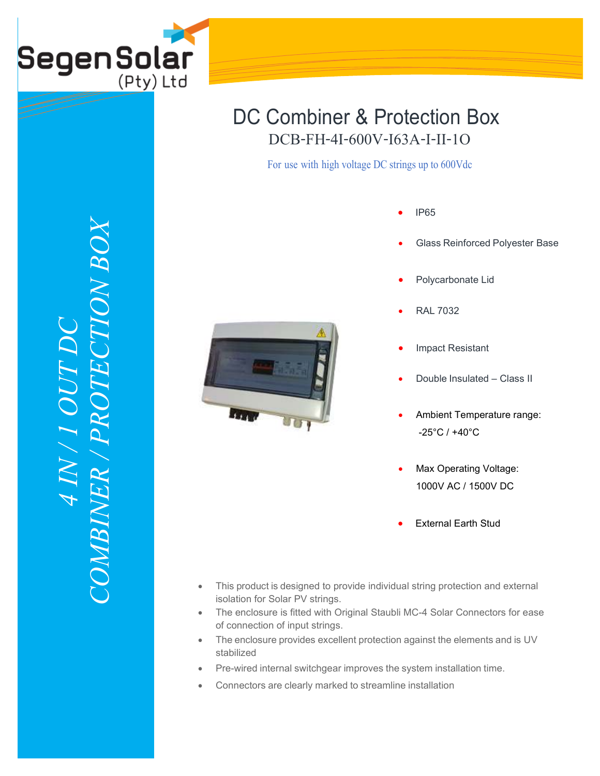

For use with high voltage DC strings up to 600Vdc

- IP65
- Glass Reinforced Polyester Base



- RAL 7032
- Impact Resistant
- Double Insulated Class II
- Ambient Temperature range: -25°C / +40°C
- Max Operating Voltage: 1000V AC / 1500V DC
- External Earth Stud
- This product is designed to provide individual string protection and external isolation for Solar PV strings.
- The enclosure is fitted with Original Staubli MC-4 Solar Connectors for ease of connection of input strings.
- The enclosure provides excellent protection against the elements and is UV stabilized
- Pre-wired internal switchgear improves the system installation time.
- Connectors are clearly marked to streamline installation

*COMBINER / PROTECTION BOX***TION BOX** *4 IN / 1 OUT DC*   $N$  /  $I$   $OUI$ COMBINER / PRO